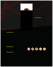

THE ONLY PAINT THAT DOES NOT CONTAIN ENVIRONMENT CARCINOGENIC, MUTAGENIC, OR TOXIC **COMPONENTS FOR REPRODUCTION** 

PAINTS THAT RESPECT MEN AND THE

100% USAGE GUARANTEE, NO WASTE

# $\check{Z}$  c F }  $\check{Z}$  ) e c % { e % } c % } % , e 8 ) % Se N B E (US ED UP TO -15 °C

- The only locking cap
- A particularl y robust safety cap (a full aerosol dropped from a height of 1.50m will remain intact)
- . No contact with the paint

 $k c X 4 - \{F \text{ % } k : \text{ } e a \text{ }, \text{ } a \text{ if } k = 1, 2, \ldots \}$ 

7 COLOURS AVAILABLE

**VERY BRIGHT MARKING AND COVERING CAPACITY IN A SINGLE PASS, HIGHLY FLUORESCENT**